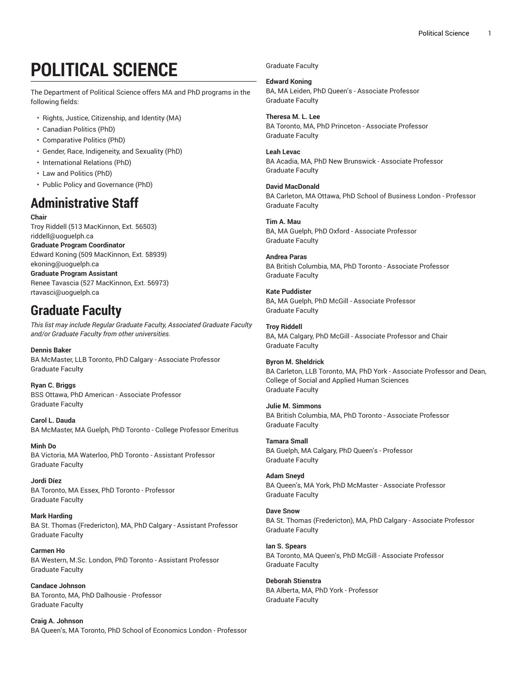# **POLITICAL SCIENCE**

The Department of Political Science offers MA and PhD programs in the following fields:

- Rights, Justice, Citizenship, and Identity (MA)
- Canadian Politics (PhD)
- Comparative Politics (PhD)
- Gender, Race, Indigeneity, and Sexuality (PhD)
- International Relations (PhD)
- Law and Politics (PhD)
- Public Policy and Governance (PhD)

# **Administrative Staff**

**Chair** Troy Riddell (513 MacKinnon, Ext. 56503) [riddell@uoguelph.ca](!+X�����5�;|�f��|g�%=5���) **Graduate Program Coordinator** Edward Koning (509 MacKinnon, Ext. 58939) [ekoning@uoguelph.ca](�������,�9*�%h����w��k) **Graduate Program Assistant** Renee Tavascia (527 MacKinnon, Ext. 56973) [rtavasci@uoguelph.ca](-��j9qI��"BT�84��h�5ݙlY^)

# **Graduate Faculty**

*This list may include Regular Graduate Faculty, Associated Graduate Faculty and/or Graduate Faculty from other universities.*

**Dennis Baker** BA McMaster, LLB Toronto, PhD Calgary - Associate Professor Graduate Faculty

**Ryan C. Briggs** BSS Ottawa, PhD American - Associate Professor Graduate Faculty

**Carol L. Dauda** BA McMaster, MA Guelph, PhD Toronto - College Professor Emeritus

**Minh Do** BA Victoria, MA Waterloo, PhD Toronto - Assistant Professor Graduate Faculty

**Jordi Díez** BA Toronto, MA Essex, PhD Toronto - Professor Graduate Faculty

**Mark Harding** BA St. Thomas (Fredericton), MA, PhD Calgary - Assistant Professor Graduate Faculty

**Carmen Ho** BA Western, M.Sc. London, PhD Toronto - Assistant Professor Graduate Faculty

**Candace Johnson** BA Toronto, MA, PhD Dalhousie - Professor Graduate Faculty

**Craig A. Johnson** BA Queen's, MA Toronto, PhD School of Economics London - Professor Graduate Faculty

**Edward Koning** BA, MA Leiden, PhD Queen's - Associate Professor Graduate Faculty

**Theresa M. L. Lee** BA Toronto, MA, PhD Princeton - Associate Professor Graduate Faculty

**Leah Levac** BA Acadia, MA, PhD New Brunswick - Associate Professor Graduate Faculty

**David MacDonald** BA Carleton, MA Ottawa, PhD School of Business London - Professor Graduate Faculty

**Tim A. Mau** BA, MA Guelph, PhD Oxford - Associate Professor Graduate Faculty

**Andrea Paras** BA British Columbia, MA, PhD Toronto - Associate Professor Graduate Faculty

**Kate Puddister** BA, MA Guelph, PhD McGill - Associate Professor Graduate Faculty

**Troy Riddell** BA, MA Calgary, PhD McGill - Associate Professor and Chair Graduate Faculty

**Byron M. Sheldrick** BA Carleton, LLB Toronto, MA, PhD York - Associate Professor and Dean, College of Social and Applied Human Sciences Graduate Faculty

**Julie M. Simmons** BA British Columbia, MA, PhD Toronto - Associate Professor Graduate Faculty

**Tamara Small** BA Guelph, MA Calgary, PhD Queen's - Professor Graduate Faculty

**Adam Sneyd** BA Queen's, MA York, PhD McMaster - Associate Professor Graduate Faculty

**Dave Snow** BA St. Thomas (Fredericton), MA, PhD Calgary - Associate Professor Graduate Faculty

**Ian S. Spears** BA Toronto, MA Queen's, PhD McGill - Associate Professor Graduate Faculty

**Deborah Stienstra** BA Alberta, MA, PhD York - Professor Graduate Faculty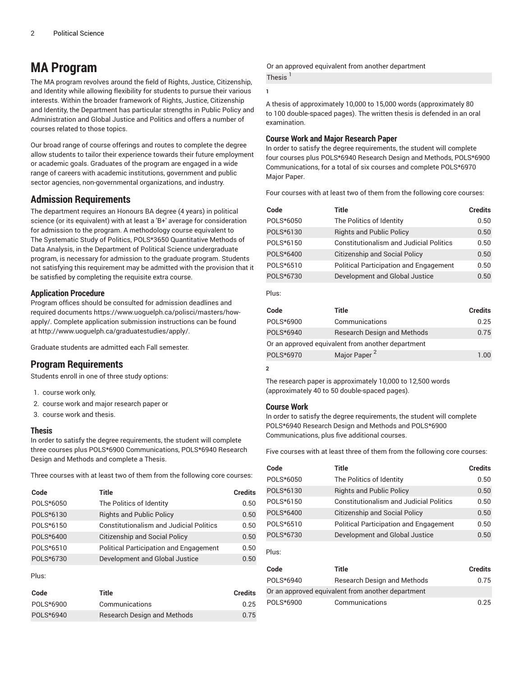## **MA Program**

The MA program revolves around the field of Rights, Justice, Citizenship, and Identity while allowing flexibility for students to pursue their various interests. Within the broader framework of Rights, Justice, Citizenship and Identity, the Department has particular strengths in Public Policy and Administration and Global Justice and Politics and offers a number of courses related to those topics.

Our broad range of course offerings and routes to complete the degree allow students to tailor their experience towards their future employment or academic goals. Graduates of the program are engaged in a wide range of careers with academic institutions, government and public sector agencies, non-governmental organizations, and industry.

## **Admission Requirements**

The department requires an Honours BA degree (4 years) in political science (or its equivalent) with at least a 'B+' average for consideration for admission to the program. A methodology course equivalent to The Systematic Study of Politics, POLS\*3650 Quantitative Methods of Data Analysis, in the Department of Political Science undergraduate program, is necessary for admission to the graduate program. Students not satisfying this requirement may be admitted with the provision that it be satisfied by completing the requisite extra course.

#### **Application Procedure**

Program offices should be consulted for admission deadlines and required documents [https://www.uoguelph.ca/polisci/masters/how]()��+���	���ȫ(vAxB`=��E*٧1|�a����So6N �Qp�xl�)[apply/.]()��+���	���ȫ(vAxB`=��E*٧1|�a����So6N �Qp�xl�) Complete application submission instructions can be found at [http://www.uoguelph.ca/graduatestudies/apply/](�]!ʈ=���n��~�P"��d@�-,�}�`).

Graduate students are admitted each Fall semester.

## **Program Requirements**

Students enroll in one of three study options:

- 1. course work only,
- 2. course work and major research paper or
- 3. course work and thesis.

#### **Thesis**

In order to satisfy the degree requirements, the student will complete three courses plus POLS\*6900 Communications, POLS\*6940 Research Design and Methods and complete a Thesis.

Three courses with at least two of them from the following core courses:

| Code      | Title                                          | <b>Credits</b> |
|-----------|------------------------------------------------|----------------|
| POLS*6050 | The Politics of Identity                       | 0.50           |
| POLS*6130 | <b>Rights and Public Policy</b>                | 0.50           |
| POLS*6150 | <b>Constitutionalism and Judicial Politics</b> | 0.50           |
| POLS*6400 | <b>Citizenship and Social Policy</b>           | 0.50           |
| POLS*6510 | <b>Political Participation and Engagement</b>  | 0.50           |
| POLS*6730 | Development and Global Justice                 | 0.50           |
|           |                                                |                |

Plus:

| Code      | Title                              | Credits |
|-----------|------------------------------------|---------|
| POLS*6900 | Communications                     | 0.25    |
| POLS*6940 | <b>Research Design and Methods</b> | 0.75    |

Or an approved equivalent from another department Thesis<sup>1</sup>

**1**

A thesis of approximately 10,000 to 15,000 words (approximately 80 to 100 double-spaced pages). The written thesis is defended in an oral examination.

#### **Course Work and Major Research Paper**

In order to satisfy the degree requirements, the student will complete four courses plus POLS\*6940 Research Design and Methods, POLS\*6900 Communications, for a total of six courses and complete POLS\*6970 Major Paper.

Four courses with at least two of them from the following core courses:

| Code      | Title                                          | <b>Credits</b> |
|-----------|------------------------------------------------|----------------|
| POLS*6050 | The Politics of Identity                       | 0.50           |
| POLS*6130 | <b>Rights and Public Policy</b>                | 0.50           |
| POLS*6150 | <b>Constitutionalism and Judicial Politics</b> | 0.50           |
| POLS*6400 | <b>Citizenship and Social Policy</b>           | 0.50           |
| POLS*6510 | <b>Political Participation and Engagement</b>  | 0.50           |
| POLS*6730 | Development and Global Justice                 | 0.50           |
|           |                                                |                |

Plus:

| Code                                              | Title                              | <b>Credits</b> |
|---------------------------------------------------|------------------------------------|----------------|
| POLS*6900                                         | Communications                     | 0.25           |
| POLS*6940                                         | <b>Research Design and Methods</b> | 0.75           |
| Or an approved equivalent from another department |                                    |                |
| POLS*6970                                         | Major Paper <sup>2</sup>           | 1.00           |

**2**

The research paper is approximately 10,000 to 12,500 words (approximately 40 to 50 double-spaced pages).

#### **Course Work**

In order to satisfy the degree requirements, the student will complete POLS\*6940 Research Design and Methods and POLS\*6900 Communications, plus five additional courses.

Five courses with at least three of them from the following core courses:

| Code      | Title                                          | <b>Credits</b> |
|-----------|------------------------------------------------|----------------|
| POLS*6050 | The Politics of Identity                       | 0.50           |
| POLS*6130 | <b>Rights and Public Policy</b>                | 0.50           |
| POLS*6150 | <b>Constitutionalism and Judicial Politics</b> | 0.50           |
| POLS*6400 | <b>Citizenship and Social Policy</b>           | 0.50           |
| POLS*6510 | <b>Political Participation and Engagement</b>  | 0.50           |
| POLS*6730 | Development and Global Justice                 | 0.50           |

Plus:

| Code                                              | Title                       | <b>Credits</b> |
|---------------------------------------------------|-----------------------------|----------------|
| POLS*6940                                         | Research Design and Methods | 0.75           |
| Or an approved equivalent from another department |                             |                |
| POLS*6900                                         | Communications              | 0.25           |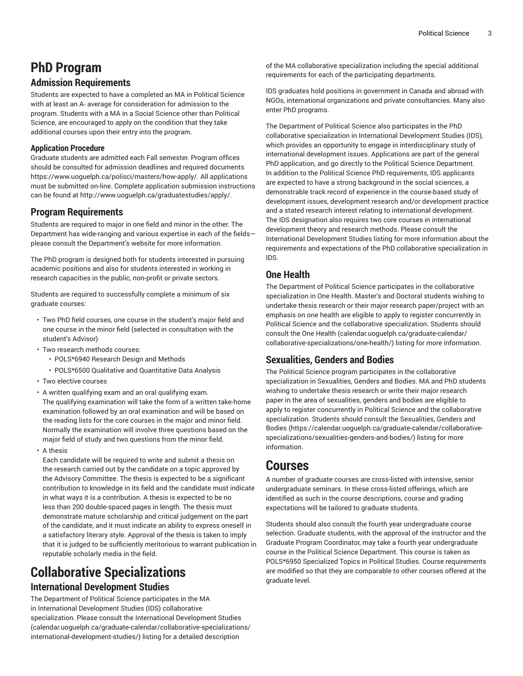# **PhD Program**

## **Admission Requirements**

Students are expected to have a completed an MA in Political Science with at least an A- average for consideration for admission to the program. Students with a MA in a Social Science other than Political Science, are encouraged to apply on the condition that they take additional courses upon their entry into the program.

### **Application Procedure**

Graduate students are admitted each Fall semester. Program offices should be consulted for admission deadlines and required documents [https://www.uoguelph.ca/polisci/masters/how-apply/.]()��+���	���ȫ(vAxB`=��E*٧1|�a����So6N �Qp�xl�) All applications must be submitted on-line. Complete application submission instructions can be found at [http://www.uoguelph.ca/graduatestudies/apply/](�]!ʈ=���n��~�P"��d@�-,�}�`).

## **Program Requirements**

Students are required to major in one field and minor in the other. The Department has wide-ranging and various expertise in each of the fields please consult the Department's website for more information.

The PhD program is designed both for students interested in pursuing academic positions and also for students interested in working in research capacities in the public, non-profit or private sectors.

Students are required to successfully complete a minimum of six graduate courses:

- Two PhD field courses, one course in the student's major field and one course in the minor field (selected in consultation with the student's Advisor)
- Two research methods courses:
	- POLS\*6940 Research Design and Methods
	- POLS\*6500 Qualitative and Quantitative Data Analysis
- Two elective courses
- A written qualifying exam and an oral qualifying exam. The qualifying examination will take the form of a written take-home examination followed by an oral examination and will be based on the reading lists for the core courses in the major and minor field. Normally the examination will involve three questions based on the major field of study and two questions from the minor field.
- A thesis

Each candidate will be required to write and submit a thesis on the research carried out by the candidate on a topic approved by the Advisory Committee. The thesis is expected to be a significant contribution to knowledge in its field and the candidate must indicate in what ways it is a contribution. A thesis is expected to be no less than 200 double-spaced pages in length. The thesis must demonstrate mature scholarship and critical judgement on the part of the candidate, and it must indicate an ability to express oneself in a satisfactory literary style. Approval of the thesis is taken to imply that it is judged to be sufficiently meritorious to warrant publication in reputable scholarly media in the field.

# **Collaborative Specializations**

## **International Development Studies**

The Department of Political Science participates in the MA in International Development Studies (IDS) collaborative specialization. Please consult the International [Development](�CH��vh�)�򰮒A�UU�?N�T��1����3����N(�"�Nn�ӠJ��}��xl�0�ʢ��8����]��$4�A"�eM�k9
��� �ݼ+) Studies ([calendar.uoguelph.ca/graduate-calendar/collaborative-specializations/](�CH��vh�)�򰮒A�UU�?N�T��1����3����N(�"�Nn�ӠJ��}��xl�0�ʢ��8����]��$4�A"�eM�k9
��� �ݼ+) [international-development-studies/](�CH��vh�)�򰮒A�UU�?N�T��1����3����N(�"�Nn�ӠJ��}��xl�0�ʢ��8����]��$4�A"�eM�k9
��� �ݼ+)) listing for a detailed description

of the MA collaborative specialization including the special additional requirements for each of the participating departments.

IDS graduates hold positions in government in Canada and abroad with NGOs, international organizations and private consultancies. Many also enter PhD programs.

The Department of Political Science also participates in the PhD collaborative specialization in International Development Studies (IDS), which provides an opportunity to engage in interdisciplinary study of international development issues. Applications are part of the general PhD application, and go directly to the Political Science Department. In addition to the Political Science PhD requirements, IDS applicants are expected to have a strong background in the social sciences, a demonstrable track record of experience in the course-based study of development issues, development research and/or development practice and a stated research interest relating to international development. The IDS designation also requires two core courses in international development theory and research methods. Please consult the International Development Studies listing for more information about the requirements and expectations of the PhD collaborative specialization in IDS.

## **One Health**

The Department of Political Science participates in the collaborative specialization in One Health. Master's and Doctoral students wishing to undertake thesis research or their major research paper/project with an emphasis on one health are eligible to apply to register concurrently in Political Science and the collaborative specialization. Students should consult the [One Health \(calendar.uoguelph.ca/graduate-calendar/](�N,�~	�פ
M��% x:��#YP�ʌ5�n��w$�2��׿�Hr����0Nu��&���f���-&;�)��b��� ��) [collaborative-specializations/one-health/\)](�N,�~	�פ
M��% x:��#YP�ʌ5�n��w$�2��׿�Hr����0Nu��&���f���-&;�)��b��� ��) listing for more information.

## **Sexualities, Genders and Bodies**

The Political Science program participates in the collaborative specialization in Sexualities, Genders and Bodies. MA and PhD students wishing to undertake thesis research or write their major research paper in the area of sexualities, genders and bodies are eligible to apply to register concurrently in Political Science and the collaborative specialization. Students should consult the [Sexualities, Genders and](�fRZw�ɪ Ec)�^�z�w�"���*a�j5Y(�����i�q��N�v��o@�6��ZQ=?� .ڬM*N�M���!@xE�\�ro�+�Hfg�?�C�Y�) [Bodies](�fRZw�ɪ Ec)�^�z�w�"���*a�j5Y(�����i�q��N�v��o@�6��ZQ=?� .ڬM*N�M���!@xE�\�ro�+�Hfg�?�C�Y�) ([https://calendar.uoguelph.ca/graduate-calendar/collaborative](�fRZw�ɪ Ec)�^�z�w�"���*a�j5Y(�����i�q��N�v��o@�6��ZQ=?� .ڬM*N�M���!@xE�\�ro�+�Hfg�?�C�Y�)[specializations/sexualities-genders-and-bodies/\)](�fRZw�ɪ Ec)�^�z�w�"���*a�j5Y(�����i�q��N�v��o@�6��ZQ=?� .ڬM*N�M���!@xE�\�ro�+�Hfg�?�C�Y�) listing for more information.

## **Courses**

A number of graduate courses are cross-listed with intensive, senior undergraduate seminars. In these cross-listed offerings, which are identified as such in the course descriptions, course and grading expectations will be tailored to graduate students.

Students should also consult the fourth year undergraduate course selection. Graduate students, with the approval of the instructor and the Graduate Program Coordinator, may take a fourth year undergraduate course in the Political Science Department. This course is taken as POLS\*6950 Specialized Topics in Political Studies. Course requirements are modified so that they are comparable to other courses offered at the graduate level.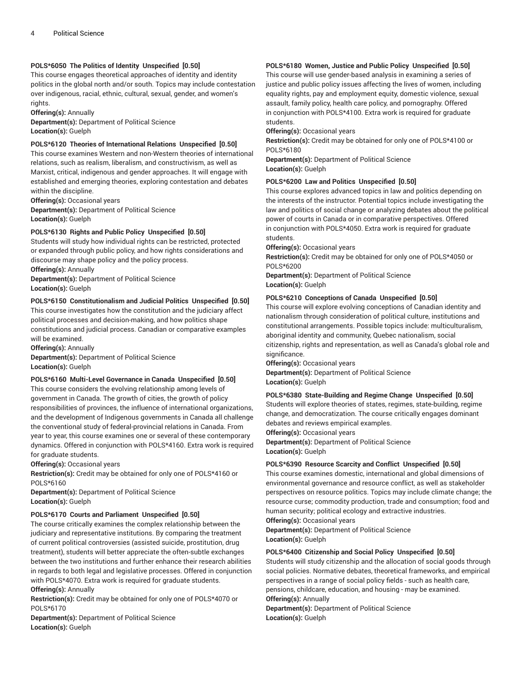#### **POLS\*6050 The Politics of Identity Unspecified [0.50]**

This course engages theoretical approaches of identity and identity politics in the global north and/or south. Topics may include contestation over indigenous, racial, ethnic, cultural, sexual, gender, and women's rights.

**Offering(s):** Annually

**Department(s):** Department of Political Science **Location(s):** Guelph

#### **POLS\*6120 Theories of International Relations Unspecified [0.50]**

This course examines Western and non-Western theories of international relations, such as realism, liberalism, and constructivism, as well as Marxist, critical, indigenous and gender approaches. It will engage with established and emerging theories, exploring contestation and debates within the discipline.

**Offering(s):** Occasional years **Department(s):** Department of Political Science **Location(s):** Guelph

#### **POLS\*6130 Rights and Public Policy Unspecified [0.50]**

Students will study how individual rights can be restricted, protected or expanded through public policy, and how rights considerations and discourse may shape policy and the policy process.

**Offering(s):** Annually **Department(s):** Department of Political Science **Location(s):** Guelph

#### **POLS\*6150 Constitutionalism and Judicial Politics Unspecified [0.50]**

This course investigates how the constitution and the judiciary affect political processes and decision-making, and how politics shape constitutions and judicial process. Canadian or comparative examples will be examined.

**Offering(s):** Annually **Department(s):** Department of Political Science **Location(s):** Guelph

#### **POLS\*6160 Multi-Level Governance in Canada Unspecified [0.50]**

This course considers the evolving relationship among levels of government in Canada. The growth of cities, the growth of policy responsibilities of provinces, the influence of international organizations, and the development of Indigenous governments in Canada all challenge the conventional study of federal-provincial relations in Canada. From year to year, this course examines one or several of these contemporary dynamics. Offered in conjunction with POLS\*4160. Extra work is required for graduate students.

**Offering(s):** Occasional years

**Restriction(s):** Credit may be obtained for only one of POLS\*4160 or POLS\*6160

**Department(s):** Department of Political Science **Location(s):** Guelph

#### **POLS\*6170 Courts and Parliament Unspecified [0.50]**

The course critically examines the complex relationship between the judiciary and representative institutions. By comparing the treatment of current political controversies (assisted suicide, prostitution, drug treatment), students will better appreciate the often-subtle exchanges between the two institutions and further enhance their research abilities in regards to both legal and legislative processes. Offered in conjunction with POLS\*4070. Extra work is required for graduate students.

### **Offering(s):** Annually

**Restriction(s):** Credit may be obtained for only one of POLS\*4070 or POLS\*6170

**Department(s):** Department of Political Science **Location(s):** Guelph

#### **POLS\*6180 Women, Justice and Public Policy Unspecified [0.50]**

This course will use gender-based analysis in examining a series of justice and public policy issues affecting the lives of women, including equality rights, pay and employment equity, domestic violence, sexual assault, family policy, health care policy, and pornography. Offered in conjunction with POLS\*4100. Extra work is required for graduate students.

**Offering(s):** Occasional years

**Restriction(s):** Credit may be obtained for only one of POLS\*4100 or POLS\*6180

**Department(s):** Department of Political Science **Location(s):** Guelph

#### **POLS\*6200 Law and Politics Unspecified [0.50]**

This course explores advanced topics in law and politics depending on the interests of the instructor. Potential topics include investigating the law and politics of social change or analyzing debates about the political power of courts in Canada or in comparative perspectives. Offered in conjunction with POLS\*4050. Extra work is required for graduate students.

**Offering(s):** Occasional years

**Restriction(s):** Credit may be obtained for only one of POLS\*4050 or POLS\*6200

**Department(s):** Department of Political Science

**Location(s):** Guelph

#### **POLS\*6210 Conceptions of Canada Unspecified [0.50]**

This course will explore evolving conceptions of Canadian identity and nationalism through consideration of political culture, institutions and constitutional arrangements. Possible topics include: multiculturalism, aboriginal identity and community, Quebec nationalism, social citizenship, rights and representation, as well as Canada's global role and significance.

**Offering(s):** Occasional years **Department(s):** Department of Political Science **Location(s):** Guelph

#### **POLS\*6380 State-Building and Regime Change Unspecified [0.50]**

Students will explore theories of states, regimes, state-building, regime change, and democratization. The course critically engages dominant debates and reviews empirical examples.

**Offering(s):** Occasional years

**Department(s):** Department of Political Science **Location(s):** Guelph

#### **POLS\*6390 Resource Scarcity and Conflict Unspecified [0.50]**

This course examines domestic, international and global dimensions of environmental governance and resource conflict, as well as stakeholder perspectives on resource politics. Topics may include climate change; the resource curse; commodity production, trade and consumption; food and human security; political ecology and extractive industries.

**Offering(s):** Occasional years

**Department(s):** Department of Political Science **Location(s):** Guelph

#### **POLS\*6400 Citizenship and Social Policy Unspecified [0.50]**

Students will study citizenship and the allocation of social goods through social policies. Normative debates, theoretical frameworks, and empirical perspectives in a range of social policy fields - such as health care, pensions, childcare, education, and housing - may be examined.

**Offering(s):** Annually

**Department(s):** Department of Political Science **Location(s):** Guelph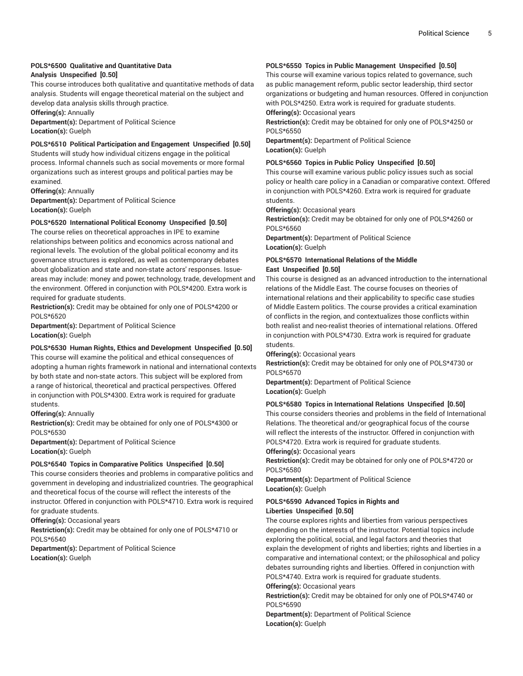#### **POLS\*6500 Qualitative and Quantitative Data Analysis Unspecified [0.50]**

This course introduces both qualitative and quantitative methods of data analysis. Students will engage theoretical material on the subject and develop data analysis skills through practice.

**Offering(s):** Annually

**Department(s):** Department of Political Science **Location(s):** Guelph

#### **POLS\*6510 Political Participation and Engagement Unspecified [0.50]**

Students will study how individual citizens engage in the political process. Informal channels such as social movements or more formal organizations such as interest groups and political parties may be examined.

**Offering(s):** Annually **Department(s):** Department of Political Science **Location(s):** Guelph

#### **POLS\*6520 International Political Economy Unspecified [0.50]**

The course relies on theoretical approaches in IPE to examine relationships between politics and economics across national and regional levels. The evolution of the global political economy and its governance structures is explored, as well as contemporary debates about globalization and state and non-state actors' responses. Issueareas may include: money and power, technology, trade, development and the environment. Offered in conjunction with POLS\*4200. Extra work is required for graduate students.

**Restriction(s):** Credit may be obtained for only one of POLS\*4200 or POLS\*6520

**Department(s):** Department of Political Science **Location(s):** Guelph

#### **POLS\*6530 Human Rights, Ethics and Development Unspecified [0.50]**

This course will examine the political and ethical consequences of adopting a human rights framework in national and international contexts by both state and non-state actors. This subject will be explored from a range of historical, theoretical and practical perspectives. Offered in conjunction with POLS\*4300. Extra work is required for graduate students.

#### **Offering(s):** Annually

**Restriction(s):** Credit may be obtained for only one of POLS\*4300 or POLS\*6530

**Department(s):** Department of Political Science **Location(s):** Guelph

#### **POLS\*6540 Topics in Comparative Politics Unspecified [0.50]**

This course considers theories and problems in comparative politics and government in developing and industrialized countries. The geographical and theoretical focus of the course will reflect the interests of the instructor. Offered in conjunction with POLS\*4710. Extra work is required for graduate students.

**Offering(s):** Occasional years

**Restriction(s):** Credit may be obtained for only one of POLS\*4710 or POLS\*6540

**Department(s):** Department of Political Science **Location(s):** Guelph

#### **POLS\*6550 Topics in Public Management Unspecified [0.50]**

This course will examine various topics related to governance, such as public management reform, public sector leadership, third sector organizations or budgeting and human resources. Offered in conjunction with POLS\*4250. Extra work is required for graduate students. **Offering(s):** Occasional years

**Restriction(s):** Credit may be obtained for only one of POLS\*4250 or POLS\*6550

**Department(s):** Department of Political Science **Location(s):** Guelph

#### **POLS\*6560 Topics in Public Policy Unspecified [0.50]**

This course will examine various public policy issues such as social policy or health care policy in a Canadian or comparative context. Offered in conjunction with POLS\*4260. Extra work is required for graduate students.

**Offering(s):** Occasional years

**Restriction(s):** Credit may be obtained for only one of POLS\*4260 or POLS\*6560

**Department(s):** Department of Political Science **Location(s):** Guelph

#### **POLS\*6570 International Relations of the Middle East Unspecified [0.50]**

This course is designed as an advanced introduction to the international relations of the Middle East. The course focuses on theories of international relations and their applicability to specific case studies of Middle Eastern politics. The course provides a critical examination of conflicts in the region, and contextualizes those conflicts within both realist and neo-realist theories of international relations. Offered in conjunction with POLS\*4730. Extra work is required for graduate students.

**Offering(s):** Occasional years

**Restriction(s):** Credit may be obtained for only one of POLS\*4730 or POLS\*6570

**Department(s):** Department of Political Science **Location(s):** Guelph

#### **POLS\*6580 Topics in International Relations Unspecified [0.50]**

This course considers theories and problems in the field of International Relations. The theoretical and/or geographical focus of the course will reflect the interests of the instructor. Offered in conjunction with POLS\*4720. Extra work is required for graduate students.

**Offering(s):** Occasional years

**Restriction(s):** Credit may be obtained for only one of POLS\*4720 or POLS\*6580

**Department(s):** Department of Political Science **Location(s):** Guelph

#### **POLS\*6590 Advanced Topics in Rights and Liberties Unspecified [0.50]**

The course explores rights and liberties from various perspectives depending on the interests of the instructor. Potential topics include exploring the political, social, and legal factors and theories that explain the development of rights and liberties; rights and liberties in a comparative and international context; or the philosophical and policy debates surrounding rights and liberties. Offered in conjunction with POLS\*4740. Extra work is required for graduate students.

#### **Offering(s):** Occasional years

**Restriction(s):** Credit may be obtained for only one of POLS\*4740 or POLS\*6590

**Department(s):** Department of Political Science **Location(s):** Guelph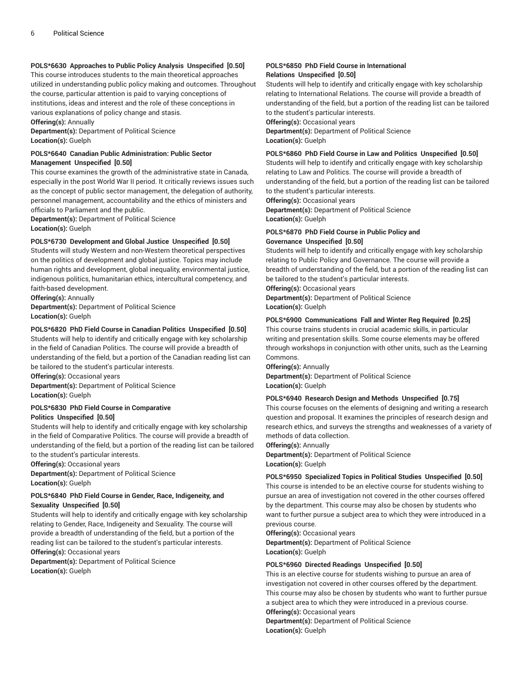#### **POLS\*6630 Approaches to Public Policy Analysis Unspecified [0.50]**

This course introduces students to the main theoretical approaches utilized in understanding public policy making and outcomes. Throughout the course, particular attention is paid to varying conceptions of institutions, ideas and interest and the role of these conceptions in various explanations of policy change and stasis. **Offering(s):** Annually

**Department(s):** Department of Political Science **Location(s):** Guelph

#### **POLS\*6640 Canadian Public Administration: Public Sector Management Unspecified [0.50]**

This course examines the growth of the administrative state in Canada, especially in the post World War II period. It critically reviews issues such as the concept of public sector management, the delegation of authority, personnel management, accountability and the ethics of ministers and officials to Parliament and the public.

**Department(s):** Department of Political Science **Location(s):** Guelph

#### **POLS\*6730 Development and Global Justice Unspecified [0.50]**

Students will study Western and non-Western theoretical perspectives on the politics of development and global justice. Topics may include human rights and development, global inequality, environmental justice, indigenous politics, humanitarian ethics, intercultural competency, and faith-based development.

**Offering(s):** Annually **Department(s):** Department of Political Science **Location(s):** Guelph

#### **POLS\*6820 PhD Field Course in Canadian Politics Unspecified [0.50]**

Students will help to identify and critically engage with key scholarship in the field of Canadian Politics. The course will provide a breadth of understanding of the field, but a portion of the Canadian reading list can be tailored to the student's particular interests.

**Offering(s):** Occasional years

**Department(s):** Department of Political Science **Location(s):** Guelph

#### **POLS\*6830 PhD Field Course in Comparative Politics Unspecified [0.50]**

Students will help to identify and critically engage with key scholarship in the field of Comparative Politics. The course will provide a breadth of understanding of the field, but a portion of the reading list can be tailored to the student's particular interests.

**Offering(s):** Occasional years

**Department(s):** Department of Political Science **Location(s):** Guelph

#### **POLS\*6840 PhD Field Course in Gender, Race, Indigeneity, and Sexuality Unspecified [0.50]**

Students will help to identify and critically engage with key scholarship relating to Gender, Race, Indigeneity and Sexuality. The course will provide a breadth of understanding of the field, but a portion of the reading list can be tailored to the student's particular interests. **Offering(s):** Occasional years

**Department(s):** Department of Political Science **Location(s):** Guelph

#### **POLS\*6850 PhD Field Course in International Relations Unspecified [0.50]**

Students will help to identify and critically engage with key scholarship relating to International Relations. The course will provide a breadth of understanding of the field, but a portion of the reading list can be tailored to the student's particular interests.

**Offering(s):** Occasional years

**Department(s):** Department of Political Science **Location(s):** Guelph

#### **POLS\*6860 PhD Field Course in Law and Politics Unspecified [0.50]**

Students will help to identify and critically engage with key scholarship relating to Law and Politics. The course will provide a breadth of understanding of the field, but a portion of the reading list can be tailored to the student's particular interests.

**Offering(s):** Occasional years

**Department(s):** Department of Political Science **Location(s):** Guelph

#### **POLS\*6870 PhD Field Course in Public Policy and Governance Unspecified [0.50]**

Students will help to identify and critically engage with key scholarship relating to Public Policy and Governance. The course will provide a breadth of understanding of the field, but a portion of the reading list can be tailored to the student's particular interests.

**Offering(s):** Occasional years

**Department(s):** Department of Political Science **Location(s):** Guelph

#### **POLS\*6900 Communications Fall and Winter Reg Required [0.25]**

This course trains students in crucial academic skills, in particular writing and presentation skills. Some course elements may be offered through workshops in conjunction with other units, such as the Learning Commons.

**Offering(s):** Annually

**Department(s):** Department of Political Science **Location(s):** Guelph

#### **POLS\*6940 Research Design and Methods Unspecified [0.75]**

This course focuses on the elements of designing and writing a research question and proposal. It examines the principles of research design and research ethics, and surveys the strengths and weaknesses of a variety of methods of data collection.

**Offering(s):** Annually

**Department(s):** Department of Political Science **Location(s):** Guelph

#### **POLS\*6950 Specialized Topics in Political Studies Unspecified [0.50]**

This course is intended to be an elective course for students wishing to pursue an area of investigation not covered in the other courses offered by the department. This course may also be chosen by students who want to further pursue a subject area to which they were introduced in a previous course.

**Offering(s):** Occasional years

**Department(s):** Department of Political Science **Location(s):** Guelph

#### **POLS\*6960 Directed Readings Unspecified [0.50]**

This is an elective course for students wishing to pursue an area of investigation not covered in other courses offered by the department. This course may also be chosen by students who want to further pursue a subject area to which they were introduced in a previous course. **Offering(s):** Occasional years **Department(s):** Department of Political Science

**Location(s):** Guelph